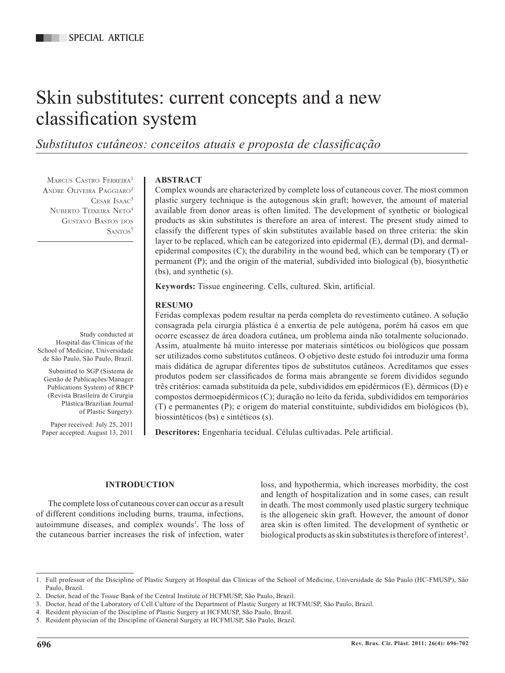# Skin substitutes: current concepts and a new classification system

*Substitutos cutâneos: conceitos atuais e proposta de classificação*

MARCUS CASTRO FERREIRA<sup>1</sup> ANDRE OLIVEIRA PAGGIARO<sup>2</sup> Cesar Isaac3 NUBERTO TEIXEIRA NETO<sup>4</sup> Gustavo Bastos dos SANTOS<sup>5</sup>

#### Study conducted at Hospital das Clínicas of the School of Medicine, Universidade de São Paulo, São Paulo, Brazil.

Submitted to SGP (Sistema de Gestão de Publicações/Manager Publications System) of RBCP (Revista Brasileira de Cirurgia Plástica/Brazilian Journal of Plastic Surgery).

Paper received: July 25, 2011 Paper accepted: August 13, 2011

# **ABSTRACT**

Complex wounds are characterized by complete loss of cutaneous cover. The most common plastic surgery technique is the autogenous skin graft; however, the amount of material available from donor areas is often limited. The development of synthetic or biological products as skin substitutes is therefore an area of interest. The present study aimed to classify the different types of skin substitutes available based on three criteria: the skin layer to be replaced, which can be categorized into epidermal (E), dermal (D), and dermalepidermal composites (C); the durability in the wound bed, which can be temporary (T) or permanent (P); and the origin of the material, subdivided into biological (b), biosynthetic (bs), and synthetic (s).

**Keywords:** Tissue engineering. Cells, cultured. Skin, artificial.

# **RESUMO**

Feridas complexas podem resultar na perda completa do revestimento cutâneo. A solução consagrada pela cirurgia plástica é a enxertia de pele autógena, porém há casos em que ocorre escassez de área doadora cutânea, um problema ainda não totalmente solucionado. Assim, atualmente há muito interesse por materiais sintéticos ou biológicos que possam ser utilizados como substitutos cutâneos. O objetivo deste estudo foi introduzir uma forma mais didática de agrupar diferentes tipos de substitutos cutâneos. Acreditamos que esses produtos podem ser classificados de forma mais abrangente se forem divididos segundo três critérios: camada substituída da pele, subdivididos em epidérmicos (E), dérmicos (D) e compostos dermoepidérmicos (C); duração no leito da ferida, subdivididos em temporários (T) e permanentes (P); e origem do material constituinte, subdivididos em biológicos (b), biossintéticos (bs) e sintéticos (s).

**Descritores:** Engenharia tecidual. Células cultivadas. Pele artificial.

#### **INTRODUCTION**

The complete loss of cutaneous cover can occur as a result of different conditions including burns, trauma, infections, autoimmune diseases, and complex wounds<sup>1</sup>. The loss of the cutaneous barrier increases the risk of infection, water

loss, and hypothermia, which increases morbidity, the cost and length of hospitalization and in some cases, can result in death. The most commonly used plastic surgery technique is the allogeneic skin graft. However, the amount of donor area skin is often limited. The development of synthetic or biological products as skin substitutes is therefore of interest<sup>2</sup>.

<sup>1.</sup> Full professor of the Discipline of Plastic Surgery at Hospital das Clínicas of the School of Medicine, Universidade de São Paulo (HC-FMUSP), São Paulo, Brazil.

<sup>2.</sup> Doctor, head of the Tissue Bank of the Central Institute of HCFMUSP, São Paulo, Brazil.

<sup>3.</sup> Doctor, head of the Laboratory of Cell Culture of the Department of Plastic Surgery at HCFMUSP, São Paulo, Brazil.

<sup>4.</sup> Resident physician of the Discipline of Plastic Surgery at HCFMUSP, São Paulo, Brazil.

<sup>5.</sup> Resident physician of the Discipline of General Surgery at HCFMUSP, São Paulo, Brazil.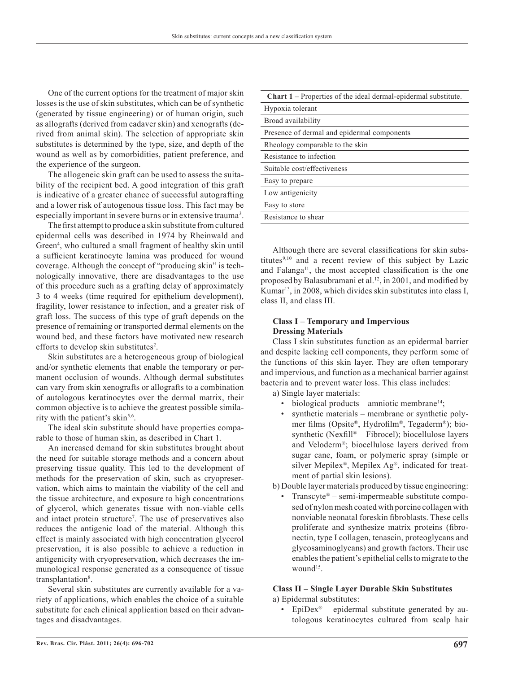One of the current options for the treatment of major skin losses is the use of skin substitutes, which can be of synthetic (generated by tissue engineering) or of human origin, such as allografts (derived from cadaver skin) and xenografts (derived from animal skin). The selection of appropriate skin substitutes is determined by the type, size, and depth of the wound as well as by comorbidities, patient preference, and the experience of the surgeon.

The allogeneic skin graft can be used to assess the suitability of the recipient bed. A good integration of this graft is indicative of a greater chance of successful autografting and a lower risk of autogenous tissue loss. This fact may be especially important in severe burns or in extensive trauma<sup>3</sup>.

The first attempt to produce a skin substitute from cultured epidermal cells was described in 1974 by Rheinwald and Green<sup>4</sup>, who cultured a small fragment of healthy skin until a sufficient keratinocyte lamina was produced for wound coverage. Although the concept of "producing skin" is technologically innovative, there are disadvantages to the use of this procedure such as a grafting delay of approximately 3 to 4 weeks (time required for epithelium development), fragility, lower resistance to infection, and a greater risk of graft loss. The success of this type of graft depends on the presence of remaining or transported dermal elements on the wound bed, and these factors have motivated new research efforts to develop skin substitutes<sup>2</sup>.

Skin substitutes are a heterogeneous group of biological and/or synthetic elements that enable the temporary or permanent occlusion of wounds. Although dermal substitutes can vary from skin xenografts or allografts to a combination of autologous keratinocytes over the dermal matrix, their common objective is to achieve the greatest possible similarity with the patient's skin5,6.

The ideal skin substitute should have properties comparable to those of human skin, as described in Chart 1.

An increased demand for skin substitutes brought about the need for suitable storage methods and a concern about preserving tissue quality. This led to the development of methods for the preservation of skin, such as cryopreservation, which aims to maintain the viability of the cell and the tissue architecture, and exposure to high concentrations of glycerol, which generates tissue with non-viable cells and intact protein structure<sup>7</sup>. The use of preservatives also reduces the antigenic load of the material. Although this effect is mainly associated with high concentration glycerol preservation, it is also possible to achieve a reduction in antigenicity with cryopreservation, which decreases the immunological response generated as a consequence of tissue transplantation<sup>8</sup>.

Several skin substitutes are currently available for a variety of applications, which enables the choice of a suitable substitute for each clinical application based on their advantages and disadvantages.

| <b>Chart 1</b> – Properties of the ideal dermal-epidermal substitute. |
|-----------------------------------------------------------------------|
| Hypoxia tolerant                                                      |
| Broad availability                                                    |
| Presence of dermal and epidermal components                           |
| Rheology comparable to the skin                                       |
| Resistance to infection                                               |
| Suitable cost/effectiveness                                           |
| Easy to prepare                                                       |
| Low antigenicity                                                      |
| Easy to store                                                         |
| Resistance to shear                                                   |
|                                                                       |

Although there are several classifications for skin substitutes $9,10$  and a recent review of this subject by Lazic and Falanga<sup>11</sup>, the most accepted classification is the one proposed by Balasubramani et al.<sup>12</sup>, in 2001, and modified by Kumar<sup>13</sup>, in 2008, which divides skin substitutes into class I, class II, and class III.

## **Class I – Temporary and Impervious Dressing Materials**

Class I skin substitutes function as an epidermal barrier and despite lacking cell components, they perform some of the functions of this skin layer. They are often temporary and impervious, and function as a mechanical barrier against bacteria and to prevent water loss. This class includes:

a) Single layer materials:

- biological products amniotic membrane $14$ ;
- synthetic materials membrane or synthetic polymer films (Opsite®, Hydrofilm®, Tegaderm®); biosynthetic (Nexfill® – Fibrocel); biocellulose layers and Veloderm®; biocellulose layers derived from sugar cane, foam, or polymeric spray (simple or silver Mepilex®, Mepilex Ag®, indicated for treatment of partial skin lesions).

b) Double layer materials produced by tissue engineering:

• Transcyte® – semi-impermeable substitute composed of nylon mesh coated with porcine collagen with nonviable neonatal foreskin fibroblasts. These cells proliferate and synthesize matrix proteins (fibronectin, type I collagen, tenascin, proteoglycans and glycosaminoglycans) and growth factors. Their use enables the patient's epithelial cells to migrate to the wound<sup>15</sup>.

# **Class II – Single Layer Durable Skin Substitutes**

a) Epidermal substitutes:

 $EpiDex^*$  – epidermal substitute generated by autologous keratinocytes cultured from scalp hair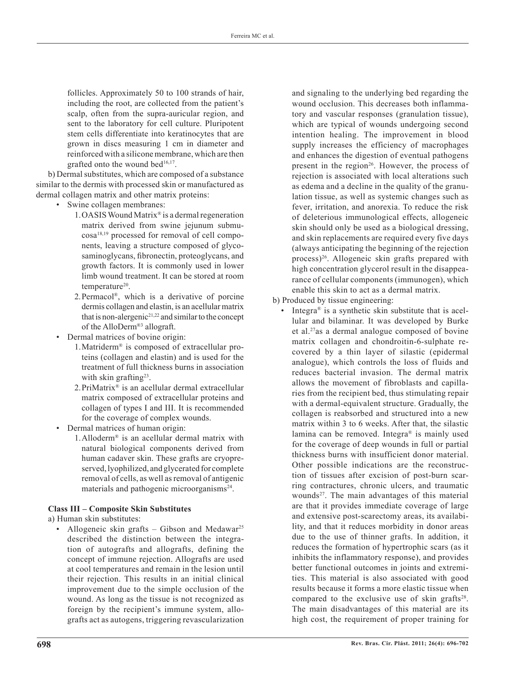follicles. Approximately 50 to 100 strands of hair, including the root, are collected from the patient's scalp, often from the supra-auricular region, and sent to the laboratory for cell culture. Pluripotent stem cells differentiate into keratinocytes that are grown in discs measuring 1 cm in diameter and reinforced with a silicone membrane, which are then grafted onto the wound bed $16,17$ .

b) Dermal substitutes, which are composed of a substance similar to the dermis with processed skin or manufactured as dermal collagen matrix and other matrix proteins:

- Swine collagen membranes:
	- 1.OASIS Wound Matrix® is a dermal regeneration matrix derived from swine jejunum submucosa18,19 processed for removal of cell components, leaving a structure composed of glycosaminoglycans, fibronectin, proteoglycans, and growth factors. It is commonly used in lower limb wound treatment. It can be stored at room temperature<sup>20</sup>.
	- 2.Permacol®, which is a derivative of porcine dermis collagen and elastin, is an acellular matrix that is non-alergenic<sup>21,22</sup> and similar to the concept of the AlloDerm®3 allograft.
- Dermal matrices of bovine origin:
	- 1.Matriderm® is composed of extracellular proteins (collagen and elastin) and is used for the treatment of full thickness burns in association with skin grafting<sup>23</sup>.
	- 2.PriMatrix® is an acellular dermal extracellular matrix composed of extracellular proteins and collagen of types I and III. It is recommended for the coverage of complex wounds.
- Dermal matrices of human origin:
	- 1.Alloderm® is an acellular dermal matrix with natural biological components derived from human cadaver skin. These grafts are cryopreserved, lyophilized, and glycerated for complete removal of cells, as well as removal of antigenic materials and pathogenic microorganisms<sup>24</sup>.

# **Class III – Composite Skin Substitutes**

a) Human skin substitutes:

• Allogeneic skin grafts - Gibson and Medawar<sup>25</sup> described the distinction between the integration of autografts and allografts, defining the concept of immune rejection. Allografts are used at cool temperatures and remain in the lesion until their rejection. This results in an initial clinical improvement due to the simple occlusion of the wound. As long as the tissue is not recognized as foreign by the recipient's immune system, allografts act as autogens, triggering revascularization

and signaling to the underlying bed regarding the wound occlusion. This decreases both inflammatory and vascular responses (granulation tissue), which are typical of wounds undergoing second intention healing. The improvement in blood supply increases the efficiency of macrophages and enhances the digestion of eventual pathogens present in the region<sup>26</sup>. However, the process of rejection is associated with local alterations such as edema and a decline in the quality of the granulation tissue, as well as systemic changes such as fever, irritation, and anorexia. To reduce the risk of deleterious immunological effects, allogeneic skin should only be used as a biological dressing, and skin replacements are required every five days (always anticipating the beginning of the rejection process)26. Allogeneic skin grafts prepared with high concentration glycerol result in the disappearance of cellular components (immunogen), which enable this skin to act as a dermal matrix.

b) Produced by tissue engineering:

• Integra® is a synthetic skin substitute that is acellular and bilaminar. It was developed by Burke et al.27as a dermal analogue composed of bovine matrix collagen and chondroitin-6-sulphate recovered by a thin layer of silastic (epidermal analogue), which controls the loss of fluids and reduces bacterial invasion. The dermal matrix allows the movement of fibroblasts and capillaries from the recipient bed, thus stimulating repair with a dermal-equivalent structure. Gradually, the collagen is reabsorbed and structured into a new matrix within 3 to 6 weeks. After that, the silastic lamina can be removed. Integra® is mainly used for the coverage of deep wounds in full or partial thickness burns with insufficient donor material. Other possible indications are the reconstruction of tissues after excision of post-burn scarring contractures, chronic ulcers, and traumatic wounds<sup>27</sup>. The main advantages of this material are that it provides immediate coverage of large and extensive post-scarectomy areas, its availability, and that it reduces morbidity in donor areas due to the use of thinner grafts. In addition, it reduces the formation of hypertrophic scars (as it inhibits the inflammatory response), and provides better functional outcomes in joints and extremities. This material is also associated with good results because it forms a more elastic tissue when compared to the exclusive use of skin grafts $28$ . The main disadvantages of this material are its high cost, the requirement of proper training for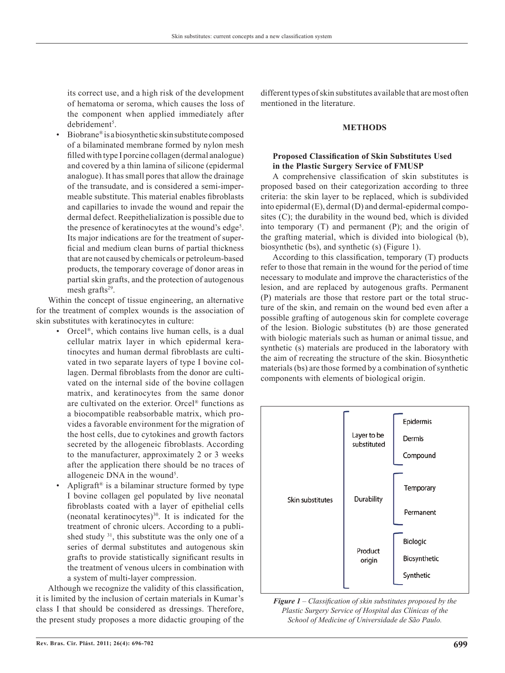its correct use, and a high risk of the development of hematoma or seroma, which causes the loss of the component when applied immediately after debridement<sup>5</sup>.

• Biobrane® is a biosynthetic skin substitute composed of a bilaminated membrane formed by nylon mesh filled with type I porcine collagen (dermal analogue) and covered by a thin lamina of silicone (epidermal analogue). It has small pores that allow the drainage of the transudate, and is considered a semi-impermeable substitute. This material enables fibroblasts and capillaries to invade the wound and repair the dermal defect. Reepithelialization is possible due to the presence of keratinocytes at the wound's edge<sup>5</sup>. Its major indications are for the treatment of superficial and medium clean burns of partial thickness that are not caused by chemicals or petroleum-based products, the temporary coverage of donor areas in partial skin grafts, and the protection of autogenous mesh grafts $29$ .

Within the concept of tissue engineering, an alternative for the treatment of complex wounds is the association of skin substitutes with keratinocytes in culture:

- Orcel<sup>®</sup>, which contains live human cells, is a dual cellular matrix layer in which epidermal keratinocytes and human dermal fibroblasts are cultivated in two separate layers of type I bovine collagen. Dermal fibroblasts from the donor are cultivated on the internal side of the bovine collagen matrix, and keratinocytes from the same donor are cultivated on the exterior. Orcel® functions as a biocompatible reabsorbable matrix, which provides a favorable environment for the migration of the host cells, due to cytokines and growth factors secreted by the allogeneic fibroblasts. According to the manufacturer, approximately 2 or 3 weeks after the application there should be no traces of allogeneic DNA in the wound<sup>5</sup>.
- Apligraft<sup>®</sup> is a bilaminar structure formed by type I bovine collagen gel populated by live neonatal fibroblasts coated with a layer of epithelial cells (neonatal keratinocytes) $30$ . It is indicated for the treatment of chronic ulcers. According to a published study  $31$ , this substitute was the only one of a series of dermal substitutes and autogenous skin grafts to provide statistically significant results in the treatment of venous ulcers in combination with a system of multi-layer compression.

Although we recognize the validity of this classification, it is limited by the inclusion of certain materials in Kumar's class I that should be considered as dressings. Therefore, the present study proposes a more didactic grouping of the

## **METHODS**

## **Proposed Classification of Skin Substitutes Used in the Plastic Surgery Service of FMUSP**

A comprehensive classification of skin substitutes is proposed based on their categorization according to three criteria: the skin layer to be replaced, which is subdivided into epidermal (E), dermal (D) and dermal-epidermal composites (C); the durability in the wound bed, which is divided into temporary (T) and permanent (P); and the origin of the grafting material, which is divided into biological (b), biosynthetic (bs), and synthetic (s) (Figure 1).

According to this classification, temporary (T) products refer to those that remain in the wound for the period of time necessary to modulate and improve the characteristics of the lesion, and are replaced by autogenous grafts. Permanent (P) materials are those that restore part or the total structure of the skin, and remain on the wound bed even after a possible grafting of autogenous skin for complete coverage of the lesion. Biologic substitutes (b) are those generated with biologic materials such as human or animal tissue, and synthetic (s) materials are produced in the laboratory with the aim of recreating the structure of the skin. Biosynthetic materials (bs) are those formed by a combination of synthetic components with elements of biological origin.



*Figure 1 – Classification of skin substitutes proposed by the Plastic Surgery Service of Hospital das Clínicas of the School of Medicine of Universidade de São Paulo.*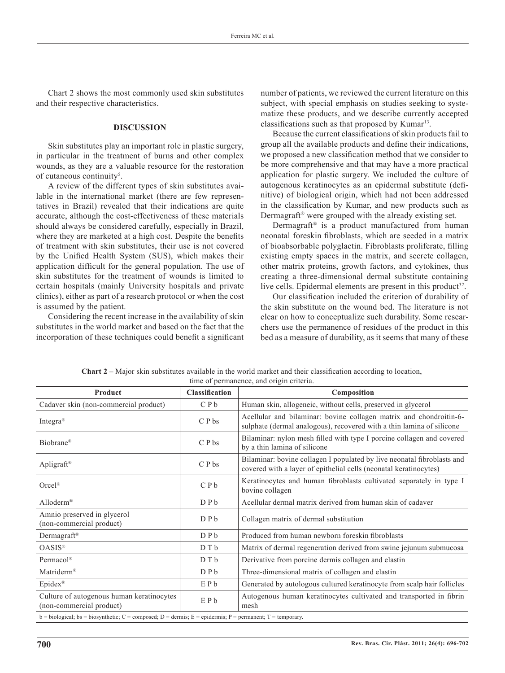Chart 2 shows the most commonly used skin substitutes and their respective characteristics.

#### **DISCUSSION**

Skin substitutes play an important role in plastic surgery, in particular in the treatment of burns and other complex wounds, as they are a valuable resource for the restoration of cutaneous continuity<sup>5</sup>.

A review of the different types of skin substitutes available in the international market (there are few representatives in Brazil) revealed that their indications are quite accurate, although the cost-effectiveness of these materials should always be considered carefully, especially in Brazil, where they are marketed at a high cost. Despite the benefits of treatment with skin substitutes, their use is not covered by the Unified Health System (SUS), which makes their application difficult for the general population. The use of skin substitutes for the treatment of wounds is limited to certain hospitals (mainly University hospitals and private clinics), either as part of a research protocol or when the cost is assumed by the patient.

Considering the recent increase in the availability of skin substitutes in the world market and based on the fact that the incorporation of these techniques could benefit a significant number of patients, we reviewed the current literature on this subject, with special emphasis on studies seeking to systematize these products, and we describe currently accepted classifications such as that proposed by Kumar<sup>13</sup>.

Because the current classifications of skin products fail to group all the available products and define their indications, we proposed a new classification method that we consider to be more comprehensive and that may have a more practical application for plastic surgery. We included the culture of autogenous keratinocytes as an epidermal substitute (definitive) of biological origin, which had not been addressed in the classification by Kumar, and new products such as Dermagraft® were grouped with the already existing set.

Dermagraft<sup>®</sup> is a product manufactured from human neonatal foreskin fibroblasts, which are seeded in a matrix of bioabsorbable polyglactin. Fibroblasts proliferate, filling existing empty spaces in the matrix, and secrete collagen, other matrix proteins, growth factors, and cytokines, thus creating a three-dimensional dermal substitute containing live cells. Epidermal elements are present in this product<sup>32</sup>.

Our classification included the criterion of durability of the skin substitute on the wound bed. The literature is not clear on how to conceptualize such durability. Some researchers use the permanence of residues of the product in this bed as a measure of durability, as it seems that many of these

| Product                                                                                                                        | <b>Classification</b> | Composition                                                                                                                                  |  |
|--------------------------------------------------------------------------------------------------------------------------------|-----------------------|----------------------------------------------------------------------------------------------------------------------------------------------|--|
| Cadaver skin (non-commercial product)                                                                                          | C P b                 | Human skin, allogeneic, without cells, preserved in glycerol                                                                                 |  |
| Integra®                                                                                                                       | C P bs                | Acellular and bilaminar: bovine collagen matrix and chondroitin-6-<br>sulphate (dermal analogous), recovered with a thin lamina of silicone  |  |
| Biobrane®                                                                                                                      | C P bs                | Bilaminar: nylon mesh filled with type I porcine collagen and covered<br>by a thin lamina of silicone                                        |  |
| Apligraft®                                                                                                                     | C P bs                | Bilaminar: bovine collagen I populated by live neonatal fibroblasts and<br>covered with a layer of epithelial cells (neonatal keratinocytes) |  |
| Orcel <sup>®</sup>                                                                                                             | C P b                 | Keratinocytes and human fibroblasts cultivated separately in type I<br>bovine collagen                                                       |  |
| $\text{Alloderm}^{\otimes}$                                                                                                    | D P b                 | Acellular dermal matrix derived from human skin of cadaver                                                                                   |  |
| Amnio preserved in glycerol<br>(non-commercial product)                                                                        | D P b                 | Collagen matrix of dermal substitution                                                                                                       |  |
| Dermagraft®                                                                                                                    | D P b                 | Produced from human newborn foreskin fibroblasts                                                                                             |  |
| $OASIS^*$                                                                                                                      | D T b                 | Matrix of dermal regeneration derived from swine jejunum submucosa                                                                           |  |
| Permacol®                                                                                                                      | D T b                 | Derivative from porcine dermis collagen and elastin                                                                                          |  |
| Matriderm®                                                                                                                     | D P b                 | Three-dimensional matrix of collagen and elastin                                                                                             |  |
| Epidex®                                                                                                                        | EPb                   | Generated by autologous cultured keratinocyte from scalp hair follicles                                                                      |  |
| Culture of autogenous human keratinocytes<br>(non-commercial product)                                                          | EPb                   | Autogenous human keratinocytes cultivated and transported in fibrin<br>mesh                                                                  |  |
| $b = biological$ ; $bs = biosynthetic$ ; $C = composed$ ; $D = dermis$ ; $E = epidermis$ ; $P = permanent$ ; $T = temporary$ . |                       |                                                                                                                                              |  |

**Chart 2** – Major skin substitutes available in the world market and their classification according to location, time of permanence, and origin criteria.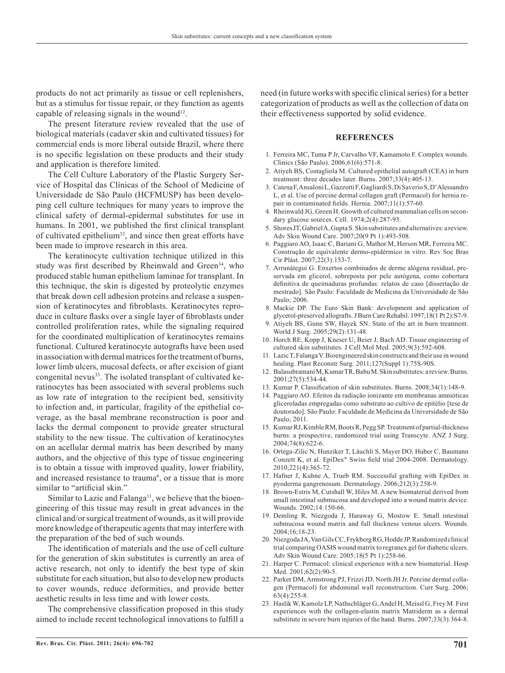products do not act primarily as tissue or cell replenishers, but as a stimulus for tissue repair, or they function as agents capable of releasing signals in the wound<sup>12</sup>.

The present literature review revealed that the use of biological materials (cadaver skin and cultivated tissues) for commercial ends is more liberal outside Brazil, where there is no specific legislation on these products and their study and application is therefore limited.

The Cell Culture Laboratory of the Plastic Surgery Service of Hospital das Clínicas of the School of Medicine of Universidade de São Paulo (HCFMUSP) has been developing cell culture techniques for many years to improve the clinical safety of dermal-epidermal substitutes for use in humans. In 2001, we published the first clinical transplant of cultivated epithelium<sup>33</sup>, and since then great efforts have been made to improve research in this area.

The keratinocyte cultivation technique utilized in this study was first described by Rheinwald and Green<sup>34</sup>, who produced stable human epithelium laminae for transplant. In this technique, the skin is digested by proteolytic enzymes that break down cell adhesion proteins and release a suspension of keratinocytes and fibroblasts. Keratinocytes reproduce in culture flasks over a single layer of fibroblasts under controlled proliferation rates, while the signaling required for the coordinated multiplication of keratinocytes remains functional. Cultured keratinocyte autografts have been used in association with dermal matrices for the treatment of burns, lower limb ulcers, mucosal defects, or after excision of giant congenital nevus<sup>33</sup>. The isolated transplant of cultivated keratinocytes has been associated with several problems such as low rate of integration to the recipient bed, sensitivity to infection and, in particular, fragility of the epithelial coverage, as the basal membrane reconstruction is poor and lacks the dermal component to provide greater structural stability to the new tissue. The cultivation of keratinocytes on an acellular dermal matrix has been described by many authors, and the objective of this type of tissue engineering is to obtain a tissue with improved quality, lower friability, and increased resistance to trauma<sup> $6$ </sup>, or a tissue that is more similar to "artificial skin."

Similar to Lazic and Falanga<sup>11</sup>, we believe that the bioengineering of this tissue may result in great advances in the clinical and/or surgical treatment of wounds, as it will provide more knowledge of therapeutic agents that may interfere with the preparation of the bed of such wounds.

The identification of materials and the use of cell culture for the generation of skin substitutes is currently an area of active research, not only to identify the best type of skin substitute for each situation, but also to develop new products to cover wounds, reduce deformities, and provide better aesthetic results in less time and with lower costs.

The comprehensive classification proposed in this study aimed to include recent technological innovations to fulfill a need (in future works with specific clinical series) for a better categorization of products as well as the collection of data on their effectiveness supported by solid evidence.

## **REFERENCES**

- 1. Ferreira MC, Tuma P Jr, Carvalho VF, Kamamoto F. Complex wounds. Clinics (São Paulo). 2006;61(6):571-8.
- 2. Atiyeh BS, Costagliola M. Cultured epithelial autograft (CEA) in burn treatment: three decades later. Burns. 2007;33(4):405-13.
- 3. Catena F, Ansaloni L, Gazzotti F, Gagliardi S, Di Saverio S, D'Alessandro L, et al. Use of porcine dermal collagen graft (Permacol) for hernia repair in contaminated fields. Hernia. 2007;11(1):57-60.
- 4. Rheinwald JG, Green H. Growth of cultured mammalian cells on secondary glucose sources. Cell. 1974;2(4):287-93.
- 5. Shores JT, Gabriel A, Gupta S. Skin substitutes and alternatives: a review. Adv Skin Wound Care. 2007;20(9 Pt 1):493-508.
- 6. Paggiaro AO, Isaac C, Bariani G, Mathor M, Herson MR, Ferreira MC. Construção de equivalente dermo-epidérmico in vitro. Rev Soc Bras Cir Plást. 2007;22(3):153-7.
- 7. Arrunátegui G. Enxertos combinados de derme alógena residual, preservada em glicerol, sobreposta por pele autógena, como cobertura definitiva de queimaduras profundas: relatos de caso [dissertação de mestrado]. São Paulo: Faculdade de Medicina da Universidade de São Paulo; 2006.
- 8. Mackie DP. The Euro Skin Bank: development and application of glycerol-preserved allografts. J Burn Care Rehabil. 1997;18(1 Pt 2):S7-9.
- 9. Atiyeh BS, Gunn SW, Hayek SN. State of the art in burn treatment. World J Surg. 2005;29(2):131-48.
- 10. Horch RE, Kopp J, Kneser U, Beier J, Bach AD. Tissue engineering of cultured skin substitutes. J Cell Mol Med. 2005;9(3):592-608.
- 11. Lazic T, Falanga V. Bioengineered skin constructs and their use in wound healing. Plast Reconstr Surg. 2011;127(Suppl 1):75S-90S.
- 12. Balasubramani M, Kumar TR, Babu M. Skin substitutes: a review. Burns.  $2001:27(5):534-44$
- 13. Kumar P. Classification of skin substitutes. Burns. 2008;34(1):148-9.
- 14. Paggiaro AO. Efeitos da radiação ionizante em membranas amnióticas gliceroladas empregadas como substrato ao cultivo de epitélio [tese de doutorado]. São Paulo: Faculdade de Medicina da Universidade de São Paulo; 2011.
- 15. Kumar RJ, Kimble RM, Boots R, Pegg SP. Treatment of partial-thickness burns: a prospective, randomized trial using Transcyte. ANZ J Surg. 2004;74(8):622-6.
- 16. Ortega-Zilic N, Hunziker T, Läuchli S, Mayer DO, Huber C, Baumann Conzett K, et al. EpiDex® Swiss field trial 2004-2008. Dermatology. 2010;221(4):365-72.
- 17. Hafner J, Kuhne A, Trueb RM. Successful grafting with EpiDex in pyoderma gangrenosum. Dermatology. 2006;212(3):258-9.
- 18. Brown-Estris M, Cutshall W, Hiles M. A new biomaterial derived from small intestinal submucosa and developed into a wound matrix device. Wounds. 2002;14:150-66.
- 19. Demling R, Niezgoda J, Haraway G, Mostow E. Small intestinal submucosa wound matrix and full thickness venous ulcers. Wounds. 2004;16;18-23.
- 20. Niezgoda JA, Van Gils CC, Frykberg RG, Hodde JP. Randomized clinical trial comparing OASIS wound matrix to regranex gel for diabetic ulcers. Adv Skin Wound Care. 2005;18(5 Pt 1):258-66.
- 21. Harper C. Permacol: clinical experience with a new biomaterial. Hosp Med. 2001;62(2):90-5.
- 22. Parker DM, Armstrong PJ, Frizzi JD, North JH Jr. Porcine dermal collagen (Permacol) for abdominal wall reconstruction. Curr Surg. 2006; 63(4):255-8.
- 23. Haslik W, Kamolz LP, Nathschläger G, Andel H, Meissl G, Frey M. First experiences with the collagen-elastin matrix Matriderm as a dermal substitute in severe burn injuries of the hand. Burns. 2007;33(3):364-8.